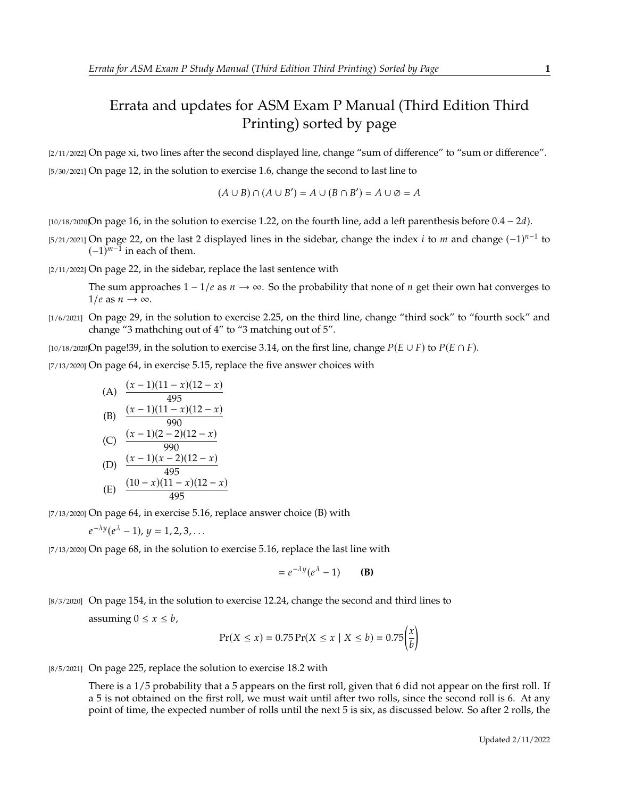## Errata and updates for ASM Exam P Manual (Third Edition Third Printing) sorted by page

[2/11/2022] On page xi, two lines after the second displayed line, change "sum of difference" to "sum or difference". [5/30/2021] On page 12, in the solution to exercise 1.6, change the second to last line to

$$
(A \cup B) \cap (A \cup B') = A \cup (B \cap B') = A \cup \emptyset = A
$$

[ $10/18/2020$ On page 16, in the solution to exercise 1.22, on the fourth line, add a left parenthesis before  $0.4 - 2d$ ).

[5/21/2021] On page 22, on the last 2 displayed lines in the sidebar, change the index *i* to *m* and change  $(-1)^{n-1}$  to  $(-1)^{m-1}$  in each of them  $(-1)^{m-1}$  in each of them.

[2/11/2022] On page 22, in the sidebar, replace the last sentence with

The sum approaches  $1 - 1/e$  as  $n \rightarrow \infty$ . So the probability that none of *n* get their own hat converges to  $1/e$  as  $n \to \infty$ .

[1/6/2021] On page 29, in the solution to exercise 2.25, on the third line, change "third sock" to "fourth sock" and change "3 mathching out of 4" to "3 matching out of 5".

[10/18/2020]On page!39, in the solution to exercise 3.14, on the first line, change  $P(E \cup F)$  to  $P(E \cap F)$ .

[7/13/2020] On page 64, in exercise 5.15, replace the five answer choices with

(A) 
$$
\frac{(x-1)(11-x)(12-x)}{495}
$$
\n(B) 
$$
\frac{(x-1)(11-x)(12-x)}{990}
$$
\n(C) 
$$
\frac{(x-1)(2-2)(12-x)}{990}
$$
\n(D) 
$$
\frac{(x-1)(x-2)(12-x)}{495}
$$
\n(E) 
$$
\frac{(10-x)(11-x)(12-x)}{495}
$$

[7/13/2020] On page 64, in exercise 5.16, replace answer choice (B) with

$$
e^{-\lambda y}(e^{\lambda}-1), y=1,2,3,\ldots
$$

[7/13/2020] On page 68, in the solution to exercise 5.16, replace the last line with

$$
= e^{-\lambda y} (e^{\lambda} - 1)
$$
 (B)

[8/3/2020] On page 154, in the solution to exercise 12.24, change the second and third lines to

assuming  $0 \le x \le b$ ,

$$
Pr(X \le x) = 0.75 Pr(X \le x \mid X \le b) = 0.75 \left(\frac{x}{b}\right)
$$

[8/5/2021] On page 225, replace the solution to exercise 18.2 with

There is a 1/5 probability that a 5 appears on the first roll, given that 6 did not appear on the first roll. If a 5 is not obtained on the first roll, we must wait until after two rolls, since the second roll is 6. At any point of time, the expected number of rolls until the next 5 is six, as discussed below. So after 2 rolls, the